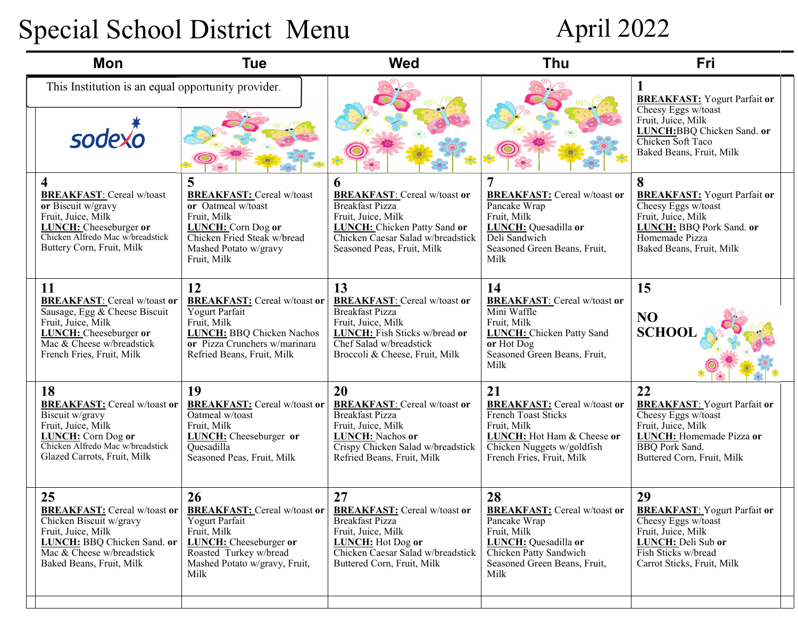## Special School District Menu

## April 2022

| Mon                                                                                                                                                                                  | <b>Tue</b>                                                                                                                                                              | <b>Wed</b>                                                                                                                                                                                         | <b>Thu</b>                                                                                                                                                                      | Fri                                                                                                                                                                       |
|--------------------------------------------------------------------------------------------------------------------------------------------------------------------------------------|-------------------------------------------------------------------------------------------------------------------------------------------------------------------------|----------------------------------------------------------------------------------------------------------------------------------------------------------------------------------------------------|---------------------------------------------------------------------------------------------------------------------------------------------------------------------------------|---------------------------------------------------------------------------------------------------------------------------------------------------------------------------|
| This Institution is an equal opportunity provider.<br>sodexn                                                                                                                         |                                                                                                                                                                         |                                                                                                                                                                                                    |                                                                                                                                                                                 | <b>BREAKFAST:</b> Yogurt Parfait or<br>Cheesy Eggs w/toast<br>Fruit, Juice, Milk<br>LUNCH:BBQ Chicken Sand. or<br>Chicken Soft Taco<br>Baked Beans, Fruit, Milk           |
| 4<br><b>BREAKFAST:</b> Cereal w/toast<br>or Biscuit w/gravy<br>Fruit, Juice, Milk<br><b>LUNCH:</b> Cheeseburger or<br>Chicken Alfredo Mac w/breadstick<br>Buttery Corn, Fruit, Milk  | 5<br><b>BREAKFAST:</b> Cereal w/toast<br>or Oatmeal w/toast<br>Fruit, Milk<br>LUNCH: Corn Dog or<br>Chicken Fried Steak w/bread<br>Mashed Potato w/gravy<br>Fruit, Milk | 6<br><b>BREAKFAST:</b> Cereal w/toast or<br><b>Breakfast Pizza</b><br>Fruit, Juice, Milk<br><b>LUNCH:</b> Chicken Patty Sand or<br>Chicken Caesar Salad w/breadstick<br>Seasoned Peas, Fruit, Milk | <b>BREAKFAST:</b> Cereal w/toast or<br>Pancake Wrap<br>Fruit, Milk<br>LUNCH: Quesadilla or<br>Deli Sandwich<br>Seasoned Green Beans, Fruit,<br>Milk                             | 8<br><b>BREAKFAST:</b> Yogurt Parfait or<br>Cheesy Eggs w/toast<br>Fruit, Juice, Milk<br>LUNCH: BBQ Pork Sand. or<br>Homemade Pizza<br>Baked Beans, Fruit, Milk           |
| 11<br><b>BREAKFAST:</b> Cereal w/toast or<br>Sausage, Egg & Cheese Biscuit<br>Fruit, Juice, Milk<br>LUNCH: Cheeseburger or<br>Mac & Cheese w/breadstick<br>French Fries, Fruit, Milk | 12<br><b>BREAKFAST:</b> Cereal w/toast or<br>Yogurt Parfait<br>Fruit, Milk<br>LUNCH: BBQ Chicken Nachos<br>or Pizza Crunchers w/marinara<br>Refried Beans, Fruit, Milk  | 13<br><b>BREAKFAST:</b> Cereal w/toast or<br><b>Breakfast Pizza</b><br>Fruit, Juice, Milk<br>LUNCH: Fish Sticks w/bread or<br>Chef Salad w/breadstick<br>Broccoli & Cheese, Fruit, Milk            | 14<br><b>BREAKFAST:</b> Cereal w/toast or<br>Mini Waffle<br>Fruit, Milk<br><b>LUNCH:</b> Chicken Patty Sand<br>$or$ Hot Dog<br>Seasoned Green Beans, Fruit,<br>Milk             | 15<br>NO<br><b>SCHOO</b>                                                                                                                                                  |
| 18<br><b>BREAKFAST:</b> Cereal w/toast or<br>Biscuit w/gravy<br>Fruit, Juice, Milk<br><b>LUNCH:</b> Corn Dog or<br>Chicken Alfredo Mac w/breadstick<br>Glazed Carrots, Fruit, Milk   | 19<br><b>BREAKFAST:</b> Cereal w/toast or<br>Oatmeal w/toast<br>Fruit, Milk<br>LUNCH: Cheeseburger or<br><b>Ouesadilla</b><br>Seasoned Peas, Fruit, Milk                | 20<br><b>BREAKFAST:</b> Cereal w/toast or<br><b>Breakfast Pizza</b><br>Fruit, Juice, Milk<br>LUNCH: Nachos or<br>Crispy Chicken Salad w/breadstick<br>Refried Beans, Fruit, Milk                   | 21<br><b>BREAKFAST:</b> Cereal w/toast or<br><b>French Toast Sticks</b><br>Fruit, Milk<br>LUNCH: Hot Ham & Cheese or<br>Chicken Nuggets w/goldfish<br>French Fries, Fruit, Milk | 22<br><b>BREAKFAST:</b> Yogurt Parfait or<br>Cheesy Eggs w/toast<br>Fruit, Juice, Milk<br>LUNCH: Homemade Pizza or<br><b>BBQ</b> Pork Sand.<br>Buttered Corn, Fruit, Milk |
| 25<br><b>BREAKFAST:</b> Cereal w/toast or<br>Chicken Biscuit w/gravy<br>Fruit, Juice, Milk<br>LUNCH: BBQ Chicken Sand. or<br>Mac & Cheese w/breadstick<br>Baked Beans, Fruit, Milk   | 26<br><b>BREAKFAST:</b> Cereal w/toast or<br>Yogurt Parfait<br>Fruit, Milk<br>LUNCH: Cheeseburger or<br>Roasted Turkey w/bread<br>Mashed Potato w/gravy, Fruit,<br>Milk | 27<br><b>BREAKFAST:</b> Cereal w/toast or<br><b>Breakfast Pizza</b><br>Fruit, Juice, Milk<br>LUNCH: Hot Dog or<br>Chicken Caesar Salad w/breadstick<br>Buttered Corn, Fruit, Milk                  | 28<br><b>BREAKFAST:</b> Cereal w/toast or<br>Pancake Wrap<br>Fruit, Milk<br>LUNCH: Quesadilla or<br>Chicken Patty Sandwich<br>Seasoned Green Beans, Fruit,<br>Milk              | 29<br><b>BREAKFAST:</b> Yogurt Parfait or<br>Cheesy Eggs w/toast<br>Fruit, Juice, Milk<br>LUNCH: Deli Sub or<br>Fish Sticks w/bread<br>Carrot Sticks, Fruit, Milk         |